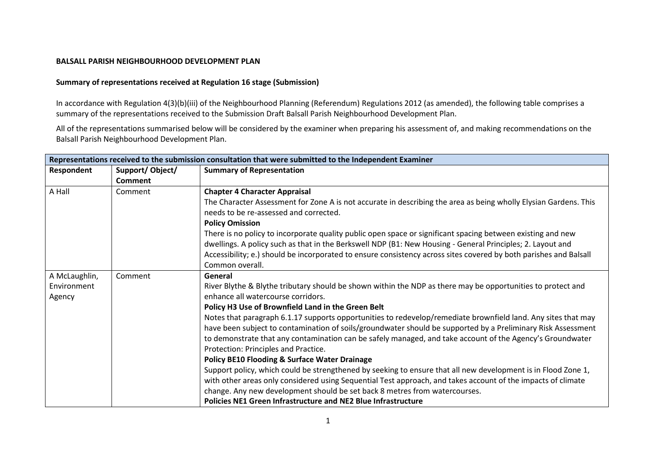## **BALSALL PARISH NEIGHBOURHOOD DEVELOPMENT PLAN**

## **Summary of representations received at Regulation 16 stage (Submission)**

In accordance with Regulation 4(3)(b)(iii) of the Neighbourhood Planning (Referendum) Regulations 2012 (as amended), the following table comprises a summary of the representations received to the Submission Draft Balsall Parish Neighbourhood Development Plan.

All of the representations summarised below will be considered by the examiner when preparing his assessment of, and making recommendations on the Balsall Parish Neighbourhood Development Plan.

| Representations received to the submission consultation that were submitted to the Independent Examiner |                 |                                                                                                                   |  |
|---------------------------------------------------------------------------------------------------------|-----------------|-------------------------------------------------------------------------------------------------------------------|--|
| Respondent                                                                                              | Support/Object/ | <b>Summary of Representation</b>                                                                                  |  |
|                                                                                                         | Comment         |                                                                                                                   |  |
| A Hall                                                                                                  | Comment         | <b>Chapter 4 Character Appraisal</b>                                                                              |  |
|                                                                                                         |                 | The Character Assessment for Zone A is not accurate in describing the area as being wholly Elysian Gardens. This  |  |
|                                                                                                         |                 | needs to be re-assessed and corrected.                                                                            |  |
|                                                                                                         |                 | <b>Policy Omission</b>                                                                                            |  |
|                                                                                                         |                 | There is no policy to incorporate quality public open space or significant spacing between existing and new       |  |
|                                                                                                         |                 | dwellings. A policy such as that in the Berkswell NDP (B1: New Housing - General Principles; 2. Layout and        |  |
|                                                                                                         |                 | Accessibility; e.) should be incorporated to ensure consistency across sites covered by both parishes and Balsall |  |
|                                                                                                         |                 | Common overall.                                                                                                   |  |
| A McLaughlin,                                                                                           | Comment         | General                                                                                                           |  |
| Environment                                                                                             |                 | River Blythe & Blythe tributary should be shown within the NDP as there may be opportunities to protect and       |  |
| Agency                                                                                                  |                 | enhance all watercourse corridors.                                                                                |  |
|                                                                                                         |                 | Policy H3 Use of Brownfield Land in the Green Belt                                                                |  |
|                                                                                                         |                 | Notes that paragraph 6.1.17 supports opportunities to redevelop/remediate brownfield land. Any sites that may     |  |
|                                                                                                         |                 | have been subject to contamination of soils/groundwater should be supported by a Preliminary Risk Assessment      |  |
|                                                                                                         |                 | to demonstrate that any contamination can be safely managed, and take account of the Agency's Groundwater         |  |
|                                                                                                         |                 | Protection: Principles and Practice.                                                                              |  |
|                                                                                                         |                 | <b>Policy BE10 Flooding &amp; Surface Water Drainage</b>                                                          |  |
|                                                                                                         |                 | Support policy, which could be strengthened by seeking to ensure that all new development is in Flood Zone 1,     |  |
|                                                                                                         |                 | with other areas only considered using Sequential Test approach, and takes account of the impacts of climate      |  |
|                                                                                                         |                 | change. Any new development should be set back 8 metres from watercourses.                                        |  |
|                                                                                                         |                 | <b>Policies NE1 Green Infrastructure and NE2 Blue Infrastructure</b>                                              |  |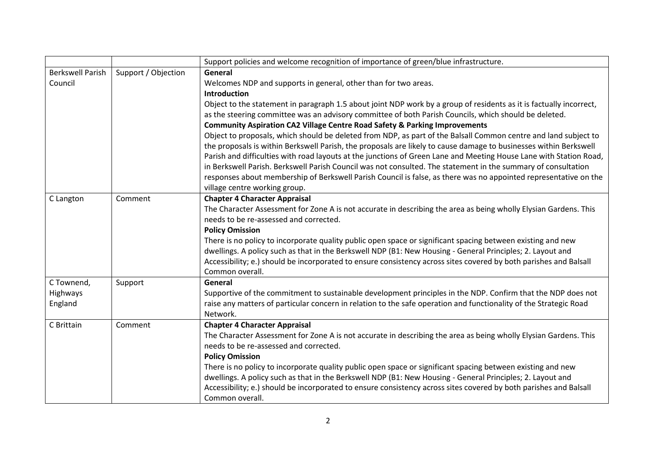|                         |                     | Support policies and welcome recognition of importance of green/blue infrastructure.                                |
|-------------------------|---------------------|---------------------------------------------------------------------------------------------------------------------|
| <b>Berkswell Parish</b> | Support / Objection | General                                                                                                             |
| Council                 |                     | Welcomes NDP and supports in general, other than for two areas.                                                     |
|                         |                     | <b>Introduction</b>                                                                                                 |
|                         |                     | Object to the statement in paragraph 1.5 about joint NDP work by a group of residents as it is factually incorrect, |
|                         |                     | as the steering committee was an advisory committee of both Parish Councils, which should be deleted.               |
|                         |                     | <b>Community Aspiration CA2 Village Centre Road Safety &amp; Parking Improvements</b>                               |
|                         |                     | Object to proposals, which should be deleted from NDP, as part of the Balsall Common centre and land subject to     |
|                         |                     | the proposals is within Berkswell Parish, the proposals are likely to cause damage to businesses within Berkswell   |
|                         |                     | Parish and difficulties with road layouts at the junctions of Green Lane and Meeting House Lane with Station Road,  |
|                         |                     | in Berkswell Parish. Berkswell Parish Council was not consulted. The statement in the summary of consultation       |
|                         |                     | responses about membership of Berkswell Parish Council is false, as there was no appointed representative on the    |
|                         |                     | village centre working group.                                                                                       |
| C Langton               | Comment             | <b>Chapter 4 Character Appraisal</b>                                                                                |
|                         |                     | The Character Assessment for Zone A is not accurate in describing the area as being wholly Elysian Gardens. This    |
|                         |                     | needs to be re-assessed and corrected.                                                                              |
|                         |                     | <b>Policy Omission</b>                                                                                              |
|                         |                     | There is no policy to incorporate quality public open space or significant spacing between existing and new         |
|                         |                     | dwellings. A policy such as that in the Berkswell NDP (B1: New Housing - General Principles; 2. Layout and          |
|                         |                     | Accessibility; e.) should be incorporated to ensure consistency across sites covered by both parishes and Balsall   |
|                         |                     | Common overall.                                                                                                     |
| C Townend,              | Support             | General                                                                                                             |
| Highways                |                     | Supportive of the commitment to sustainable development principles in the NDP. Confirm that the NDP does not        |
| England                 |                     | raise any matters of particular concern in relation to the safe operation and functionality of the Strategic Road   |
|                         |                     | Network.                                                                                                            |
| C Brittain              | Comment             | <b>Chapter 4 Character Appraisal</b>                                                                                |
|                         |                     | The Character Assessment for Zone A is not accurate in describing the area as being wholly Elysian Gardens. This    |
|                         |                     | needs to be re-assessed and corrected.                                                                              |
|                         |                     | <b>Policy Omission</b>                                                                                              |
|                         |                     | There is no policy to incorporate quality public open space or significant spacing between existing and new         |
|                         |                     | dwellings. A policy such as that in the Berkswell NDP (B1: New Housing - General Principles; 2. Layout and          |
|                         |                     | Accessibility; e.) should be incorporated to ensure consistency across sites covered by both parishes and Balsall   |
|                         |                     | Common overall.                                                                                                     |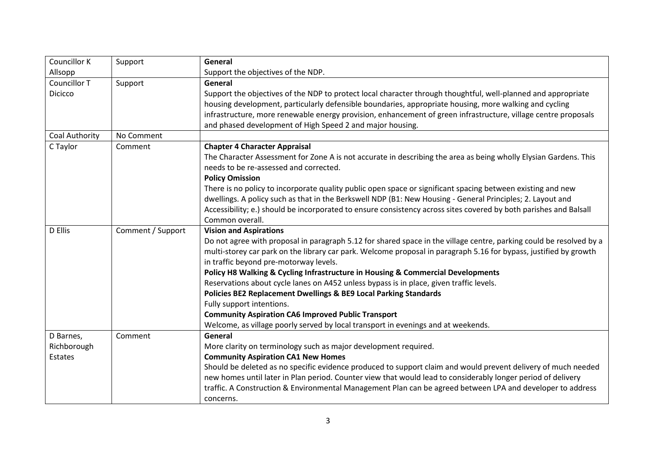| <b>Councillor K</b> | Support           | General                                                                                                             |
|---------------------|-------------------|---------------------------------------------------------------------------------------------------------------------|
| Allsopp             |                   | Support the objectives of the NDP.                                                                                  |
| Councillor T        | Support           | General                                                                                                             |
| <b>Dicicco</b>      |                   | Support the objectives of the NDP to protect local character through thoughtful, well-planned and appropriate       |
|                     |                   | housing development, particularly defensible boundaries, appropriate housing, more walking and cycling              |
|                     |                   | infrastructure, more renewable energy provision, enhancement of green infrastructure, village centre proposals      |
|                     |                   | and phased development of High Speed 2 and major housing.                                                           |
| Coal Authority      | No Comment        |                                                                                                                     |
| C Taylor            | Comment           | <b>Chapter 4 Character Appraisal</b>                                                                                |
|                     |                   | The Character Assessment for Zone A is not accurate in describing the area as being wholly Elysian Gardens. This    |
|                     |                   | needs to be re-assessed and corrected.                                                                              |
|                     |                   | <b>Policy Omission</b>                                                                                              |
|                     |                   | There is no policy to incorporate quality public open space or significant spacing between existing and new         |
|                     |                   | dwellings. A policy such as that in the Berkswell NDP (B1: New Housing - General Principles; 2. Layout and          |
|                     |                   | Accessibility; e.) should be incorporated to ensure consistency across sites covered by both parishes and Balsall   |
|                     |                   | Common overall.                                                                                                     |
| D Ellis             | Comment / Support | <b>Vision and Aspirations</b>                                                                                       |
|                     |                   | Do not agree with proposal in paragraph 5.12 for shared space in the village centre, parking could be resolved by a |
|                     |                   | multi-storey car park on the library car park. Welcome proposal in paragraph 5.16 for bypass, justified by growth   |
|                     |                   | in traffic beyond pre-motorway levels.                                                                              |
|                     |                   | Policy H8 Walking & Cycling Infrastructure in Housing & Commercial Developments                                     |
|                     |                   | Reservations about cycle lanes on A452 unless bypass is in place, given traffic levels.                             |
|                     |                   | Policies BE2 Replacement Dwellings & BE9 Local Parking Standards                                                    |
|                     |                   | Fully support intentions.                                                                                           |
|                     |                   | <b>Community Aspiration CA6 Improved Public Transport</b>                                                           |
|                     |                   | Welcome, as village poorly served by local transport in evenings and at weekends.                                   |
| D Barnes,           | Comment           | General                                                                                                             |
| Richborough         |                   | More clarity on terminology such as major development required.                                                     |
| Estates             |                   | <b>Community Aspiration CA1 New Homes</b>                                                                           |
|                     |                   | Should be deleted as no specific evidence produced to support claim and would prevent delivery of much needed       |
|                     |                   | new homes until later in Plan period. Counter view that would lead to considerably longer period of delivery        |
|                     |                   | traffic. A Construction & Environmental Management Plan can be agreed between LPA and developer to address          |
|                     |                   | concerns.                                                                                                           |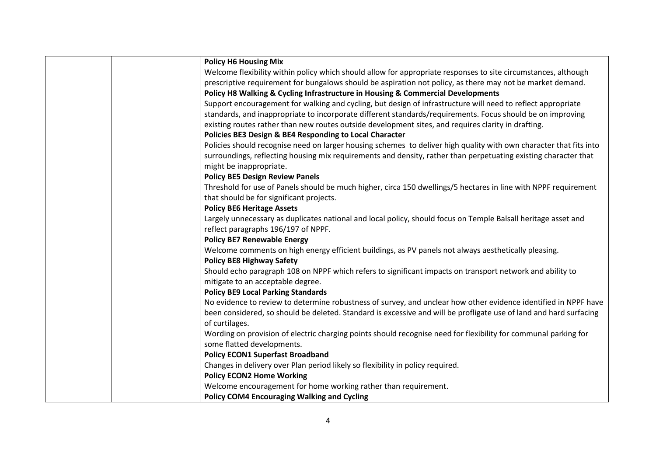| <b>Policy H6 Housing Mix</b>                                                                                       |
|--------------------------------------------------------------------------------------------------------------------|
| Welcome flexibility within policy which should allow for appropriate responses to site circumstances, although     |
| prescriptive requirement for bungalows should be aspiration not policy, as there may not be market demand.         |
| Policy H8 Walking & Cycling Infrastructure in Housing & Commercial Developments                                    |
| Support encouragement for walking and cycling, but design of infrastructure will need to reflect appropriate       |
| standards, and inappropriate to incorporate different standards/requirements. Focus should be on improving         |
| existing routes rather than new routes outside development sites, and requires clarity in drafting.                |
| Policies BE3 Design & BE4 Responding to Local Character                                                            |
| Policies should recognise need on larger housing schemes to deliver high quality with own character that fits into |
| surroundings, reflecting housing mix requirements and density, rather than perpetuating existing character that    |
| might be inappropriate.                                                                                            |
| <b>Policy BE5 Design Review Panels</b>                                                                             |
| Threshold for use of Panels should be much higher, circa 150 dwellings/5 hectares in line with NPPF requirement    |
| that should be for significant projects.                                                                           |
| <b>Policy BE6 Heritage Assets</b>                                                                                  |
| Largely unnecessary as duplicates national and local policy, should focus on Temple Balsall heritage asset and     |
| reflect paragraphs 196/197 of NPPF.                                                                                |
| <b>Policy BE7 Renewable Energy</b>                                                                                 |
| Welcome comments on high energy efficient buildings, as PV panels not always aesthetically pleasing.               |
| <b>Policy BE8 Highway Safety</b>                                                                                   |
| Should echo paragraph 108 on NPPF which refers to significant impacts on transport network and ability to          |
| mitigate to an acceptable degree.                                                                                  |
| <b>Policy BE9 Local Parking Standards</b>                                                                          |
| No evidence to review to determine robustness of survey, and unclear how other evidence identified in NPPF have    |
| been considered, so should be deleted. Standard is excessive and will be profligate use of land and hard surfacing |
| of curtilages.                                                                                                     |
| Wording on provision of electric charging points should recognise need for flexibility for communal parking for    |
| some flatted developments.                                                                                         |
| <b>Policy ECON1 Superfast Broadband</b>                                                                            |
| Changes in delivery over Plan period likely so flexibility in policy required.                                     |
| <b>Policy ECON2 Home Working</b>                                                                                   |
| Welcome encouragement for home working rather than requirement.                                                    |
| <b>Policy COM4 Encouraging Walking and Cycling</b>                                                                 |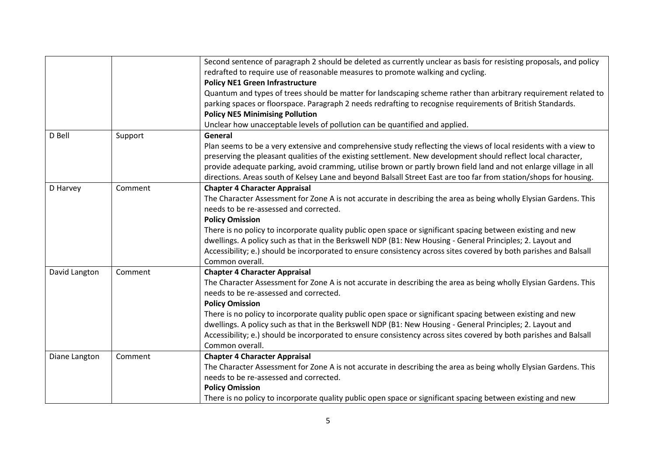|               |         | Second sentence of paragraph 2 should be deleted as currently unclear as basis for resisting proposals, and policy |
|---------------|---------|--------------------------------------------------------------------------------------------------------------------|
|               |         | redrafted to require use of reasonable measures to promote walking and cycling.                                    |
|               |         | <b>Policy NE1 Green Infrastructure</b>                                                                             |
|               |         | Quantum and types of trees should be matter for landscaping scheme rather than arbitrary requirement related to    |
|               |         | parking spaces or floorspace. Paragraph 2 needs redrafting to recognise requirements of British Standards.         |
|               |         | <b>Policy NE5 Minimising Pollution</b>                                                                             |
|               |         | Unclear how unacceptable levels of pollution can be quantified and applied.                                        |
| D Bell        | Support | General                                                                                                            |
|               |         | Plan seems to be a very extensive and comprehensive study reflecting the views of local residents with a view to   |
|               |         | preserving the pleasant qualities of the existing settlement. New development should reflect local character,      |
|               |         | provide adequate parking, avoid cramming, utilise brown or partly brown field land and not enlarge village in all  |
|               |         | directions. Areas south of Kelsey Lane and beyond Balsall Street East are too far from station/shops for housing.  |
| D Harvey      | Comment | <b>Chapter 4 Character Appraisal</b>                                                                               |
|               |         | The Character Assessment for Zone A is not accurate in describing the area as being wholly Elysian Gardens. This   |
|               |         | needs to be re-assessed and corrected.                                                                             |
|               |         | <b>Policy Omission</b>                                                                                             |
|               |         | There is no policy to incorporate quality public open space or significant spacing between existing and new        |
|               |         | dwellings. A policy such as that in the Berkswell NDP (B1: New Housing - General Principles; 2. Layout and         |
|               |         | Accessibility; e.) should be incorporated to ensure consistency across sites covered by both parishes and Balsall  |
|               |         | Common overall.                                                                                                    |
| David Langton | Comment | <b>Chapter 4 Character Appraisal</b>                                                                               |
|               |         | The Character Assessment for Zone A is not accurate in describing the area as being wholly Elysian Gardens. This   |
|               |         | needs to be re-assessed and corrected.                                                                             |
|               |         | <b>Policy Omission</b>                                                                                             |
|               |         | There is no policy to incorporate quality public open space or significant spacing between existing and new        |
|               |         | dwellings. A policy such as that in the Berkswell NDP (B1: New Housing - General Principles; 2. Layout and         |
|               |         | Accessibility; e.) should be incorporated to ensure consistency across sites covered by both parishes and Balsall  |
|               |         | Common overall.                                                                                                    |
| Diane Langton | Comment | <b>Chapter 4 Character Appraisal</b>                                                                               |
|               |         | The Character Assessment for Zone A is not accurate in describing the area as being wholly Elysian Gardens. This   |
|               |         | needs to be re-assessed and corrected.                                                                             |
|               |         | <b>Policy Omission</b>                                                                                             |
|               |         | There is no policy to incorporate quality public open space or significant spacing between existing and new        |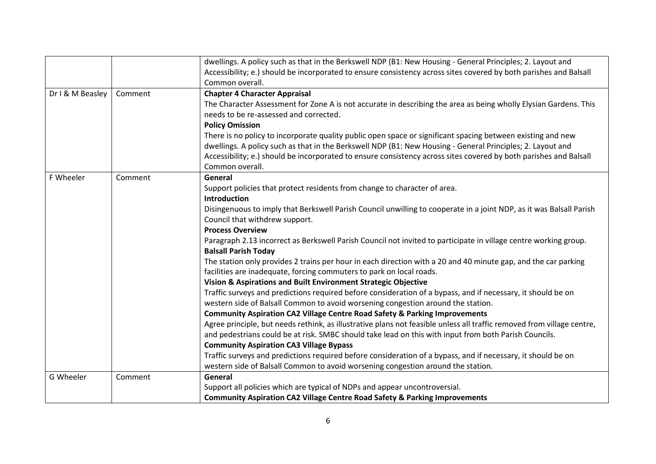|                  |         | dwellings. A policy such as that in the Berkswell NDP (B1: New Housing - General Principles; 2. Layout and<br>Accessibility; e.) should be incorporated to ensure consistency across sites covered by both parishes and Balsall |
|------------------|---------|---------------------------------------------------------------------------------------------------------------------------------------------------------------------------------------------------------------------------------|
|                  |         | Common overall.                                                                                                                                                                                                                 |
| Dr I & M Beasley | Comment | <b>Chapter 4 Character Appraisal</b>                                                                                                                                                                                            |
|                  |         | The Character Assessment for Zone A is not accurate in describing the area as being wholly Elysian Gardens. This                                                                                                                |
|                  |         | needs to be re-assessed and corrected.                                                                                                                                                                                          |
|                  |         | <b>Policy Omission</b>                                                                                                                                                                                                          |
|                  |         | There is no policy to incorporate quality public open space or significant spacing between existing and new                                                                                                                     |
|                  |         | dwellings. A policy such as that in the Berkswell NDP (B1: New Housing - General Principles; 2. Layout and                                                                                                                      |
|                  |         | Accessibility; e.) should be incorporated to ensure consistency across sites covered by both parishes and Balsall                                                                                                               |
|                  |         | Common overall.                                                                                                                                                                                                                 |
| F Wheeler        | Comment | General                                                                                                                                                                                                                         |
|                  |         | Support policies that protect residents from change to character of area.                                                                                                                                                       |
|                  |         | Introduction                                                                                                                                                                                                                    |
|                  |         | Disingenuous to imply that Berkswell Parish Council unwilling to cooperate in a joint NDP, as it was Balsall Parish                                                                                                             |
|                  |         | Council that withdrew support.                                                                                                                                                                                                  |
|                  |         | <b>Process Overview</b>                                                                                                                                                                                                         |
|                  |         | Paragraph 2.13 incorrect as Berkswell Parish Council not invited to participate in village centre working group.                                                                                                                |
|                  |         | <b>Balsall Parish Today</b>                                                                                                                                                                                                     |
|                  |         | The station only provides 2 trains per hour in each direction with a 20 and 40 minute gap, and the car parking                                                                                                                  |
|                  |         | facilities are inadequate, forcing commuters to park on local roads.                                                                                                                                                            |
|                  |         | Vision & Aspirations and Built Environment Strategic Objective                                                                                                                                                                  |
|                  |         | Traffic surveys and predictions required before consideration of a bypass, and if necessary, it should be on                                                                                                                    |
|                  |         | western side of Balsall Common to avoid worsening congestion around the station.                                                                                                                                                |
|                  |         | <b>Community Aspiration CA2 Village Centre Road Safety &amp; Parking Improvements</b>                                                                                                                                           |
|                  |         | Agree principle, but needs rethink, as illustrative plans not feasible unless all traffic removed from village centre,                                                                                                          |
|                  |         | and pedestrians could be at risk. SMBC should take lead on this with input from both Parish Councils.                                                                                                                           |
|                  |         | <b>Community Aspiration CA3 Village Bypass</b>                                                                                                                                                                                  |
|                  |         | Traffic surveys and predictions required before consideration of a bypass, and if necessary, it should be on                                                                                                                    |
|                  |         | western side of Balsall Common to avoid worsening congestion around the station.                                                                                                                                                |
| G Wheeler        | Comment | General                                                                                                                                                                                                                         |
|                  |         | Support all policies which are typical of NDPs and appear uncontroversial.                                                                                                                                                      |
|                  |         | <b>Community Aspiration CA2 Village Centre Road Safety &amp; Parking Improvements</b>                                                                                                                                           |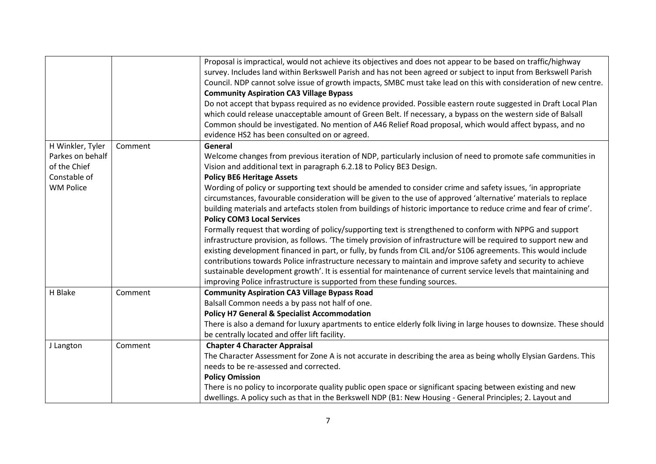|                  |         | Proposal is impractical, would not achieve its objectives and does not appear to be based on traffic/highway         |
|------------------|---------|----------------------------------------------------------------------------------------------------------------------|
|                  |         | survey. Includes land within Berkswell Parish and has not been agreed or subject to input from Berkswell Parish      |
|                  |         | Council. NDP cannot solve issue of growth impacts, SMBC must take lead on this with consideration of new centre.     |
|                  |         | <b>Community Aspiration CA3 Village Bypass</b>                                                                       |
|                  |         | Do not accept that bypass required as no evidence provided. Possible eastern route suggested in Draft Local Plan     |
|                  |         | which could release unacceptable amount of Green Belt. If necessary, a bypass on the western side of Balsall         |
|                  |         | Common should be investigated. No mention of A46 Relief Road proposal, which would affect bypass, and no             |
|                  |         | evidence HS2 has been consulted on or agreed.                                                                        |
| H Winkler, Tyler | Comment | General                                                                                                              |
| Parkes on behalf |         | Welcome changes from previous iteration of NDP, particularly inclusion of need to promote safe communities in        |
| of the Chief     |         | Vision and additional text in paragraph 6.2.18 to Policy BE3 Design.                                                 |
| Constable of     |         | <b>Policy BE6 Heritage Assets</b>                                                                                    |
| <b>WM Police</b> |         | Wording of policy or supporting text should be amended to consider crime and safety issues, 'in appropriate          |
|                  |         | circumstances, favourable consideration will be given to the use of approved 'alternative' materials to replace      |
|                  |         | building materials and artefacts stolen from buildings of historic importance to reduce crime and fear of crime'.    |
|                  |         | <b>Policy COM3 Local Services</b>                                                                                    |
|                  |         | Formally request that wording of policy/supporting text is strengthened to conform with NPPG and support             |
|                  |         | infrastructure provision, as follows. 'The timely provision of infrastructure will be required to support new and    |
|                  |         | existing development financed in part, or fully, by funds from CIL and/or S106 agreements. This would include        |
|                  |         | contributions towards Police infrastructure necessary to maintain and improve safety and security to achieve         |
|                  |         | sustainable development growth'. It is essential for maintenance of current service levels that maintaining and      |
|                  |         | improving Police infrastructure is supported from these funding sources.                                             |
| H Blake          | Comment | <b>Community Aspiration CA3 Village Bypass Road</b>                                                                  |
|                  |         | Balsall Common needs a by pass not half of one.                                                                      |
|                  |         | <b>Policy H7 General &amp; Specialist Accommodation</b>                                                              |
|                  |         | There is also a demand for luxury apartments to entice elderly folk living in large houses to downsize. These should |
|                  |         | be centrally located and offer lift facility.                                                                        |
| J Langton        | Comment | <b>Chapter 4 Character Appraisal</b>                                                                                 |
|                  |         | The Character Assessment for Zone A is not accurate in describing the area as being wholly Elysian Gardens. This     |
|                  |         | needs to be re-assessed and corrected.                                                                               |
|                  |         | <b>Policy Omission</b>                                                                                               |
|                  |         | There is no policy to incorporate quality public open space or significant spacing between existing and new          |
|                  |         | dwellings. A policy such as that in the Berkswell NDP (B1: New Housing - General Principles; 2. Layout and           |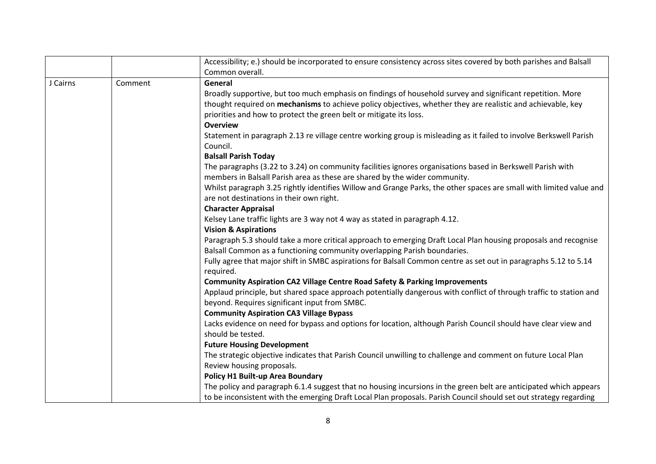|          |         | Accessibility; e.) should be incorporated to ensure consistency across sites covered by both parishes and Balsall             |
|----------|---------|-------------------------------------------------------------------------------------------------------------------------------|
|          |         | Common overall.                                                                                                               |
| J Cairns | Comment | General                                                                                                                       |
|          |         | Broadly supportive, but too much emphasis on findings of household survey and significant repetition. More                    |
|          |         | thought required on mechanisms to achieve policy objectives, whether they are realistic and achievable, key                   |
|          |         | priorities and how to protect the green belt or mitigate its loss.                                                            |
|          |         | <b>Overview</b>                                                                                                               |
|          |         | Statement in paragraph 2.13 re village centre working group is misleading as it failed to involve Berkswell Parish            |
|          |         | Council.                                                                                                                      |
|          |         | <b>Balsall Parish Today</b>                                                                                                   |
|          |         | The paragraphs (3.22 to 3.24) on community facilities ignores organisations based in Berkswell Parish with                    |
|          |         | members in Balsall Parish area as these are shared by the wider community.                                                    |
|          |         | Whilst paragraph 3.25 rightly identifies Willow and Grange Parks, the other spaces are small with limited value and           |
|          |         | are not destinations in their own right.                                                                                      |
|          |         | <b>Character Appraisal</b>                                                                                                    |
|          |         | Kelsey Lane traffic lights are 3 way not 4 way as stated in paragraph 4.12.                                                   |
|          |         | <b>Vision &amp; Aspirations</b>                                                                                               |
|          |         | Paragraph 5.3 should take a more critical approach to emerging Draft Local Plan housing proposals and recognise               |
|          |         | Balsall Common as a functioning community overlapping Parish boundaries.                                                      |
|          |         | Fully agree that major shift in SMBC aspirations for Balsall Common centre as set out in paragraphs 5.12 to 5.14<br>required. |
|          |         | <b>Community Aspiration CA2 Village Centre Road Safety &amp; Parking Improvements</b>                                         |
|          |         | Applaud principle, but shared space approach potentially dangerous with conflict of through traffic to station and            |
|          |         | beyond. Requires significant input from SMBC.                                                                                 |
|          |         | <b>Community Aspiration CA3 Village Bypass</b>                                                                                |
|          |         | Lacks evidence on need for bypass and options for location, although Parish Council should have clear view and                |
|          |         | should be tested.                                                                                                             |
|          |         | <b>Future Housing Development</b>                                                                                             |
|          |         | The strategic objective indicates that Parish Council unwilling to challenge and comment on future Local Plan                 |
|          |         | Review housing proposals.                                                                                                     |
|          |         | <b>Policy H1 Built-up Area Boundary</b>                                                                                       |
|          |         | The policy and paragraph 6.1.4 suggest that no housing incursions in the green belt are anticipated which appears             |
|          |         | to be inconsistent with the emerging Draft Local Plan proposals. Parish Council should set out strategy regarding             |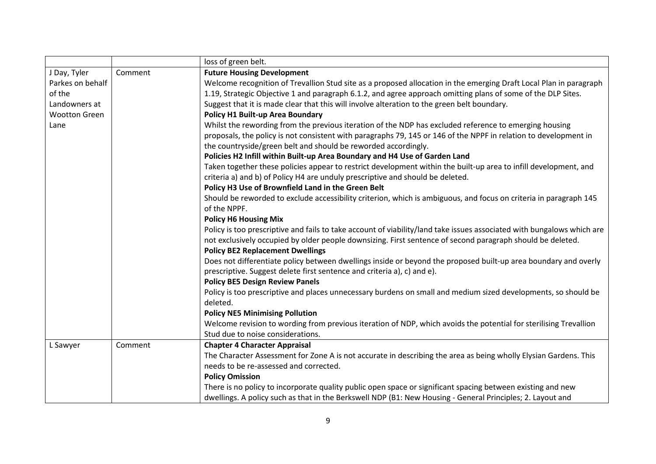|                      |         | loss of green belt.                                                                                                    |
|----------------------|---------|------------------------------------------------------------------------------------------------------------------------|
| J Day, Tyler         | Comment | <b>Future Housing Development</b>                                                                                      |
| Parkes on behalf     |         | Welcome recognition of Trevallion Stud site as a proposed allocation in the emerging Draft Local Plan in paragraph     |
| of the               |         | 1.19, Strategic Objective 1 and paragraph 6.1.2, and agree approach omitting plans of some of the DLP Sites.           |
| Landowners at        |         | Suggest that it is made clear that this will involve alteration to the green belt boundary.                            |
| <b>Wootton Green</b> |         | Policy H1 Built-up Area Boundary                                                                                       |
| Lane                 |         | Whilst the rewording from the previous iteration of the NDP has excluded reference to emerging housing                 |
|                      |         | proposals, the policy is not consistent with paragraphs 79, 145 or 146 of the NPPF in relation to development in       |
|                      |         | the countryside/green belt and should be reworded accordingly.                                                         |
|                      |         | Policies H2 Infill within Built-up Area Boundary and H4 Use of Garden Land                                             |
|                      |         | Taken together these policies appear to restrict development within the built-up area to infill development, and       |
|                      |         | criteria a) and b) of Policy H4 are unduly prescriptive and should be deleted.                                         |
|                      |         | Policy H3 Use of Brownfield Land in the Green Belt                                                                     |
|                      |         | Should be reworded to exclude accessibility criterion, which is ambiguous, and focus on criteria in paragraph 145      |
|                      |         | of the NPPF.                                                                                                           |
|                      |         | <b>Policy H6 Housing Mix</b>                                                                                           |
|                      |         | Policy is too prescriptive and fails to take account of viability/land take issues associated with bungalows which are |
|                      |         | not exclusively occupied by older people downsizing. First sentence of second paragraph should be deleted.             |
|                      |         | <b>Policy BE2 Replacement Dwellings</b>                                                                                |
|                      |         | Does not differentiate policy between dwellings inside or beyond the proposed built-up area boundary and overly        |
|                      |         | prescriptive. Suggest delete first sentence and criteria a), c) and e).                                                |
|                      |         | <b>Policy BE5 Design Review Panels</b>                                                                                 |
|                      |         | Policy is too prescriptive and places unnecessary burdens on small and medium sized developments, so should be         |
|                      |         | deleted.                                                                                                               |
|                      |         | <b>Policy NE5 Minimising Pollution</b>                                                                                 |
|                      |         | Welcome revision to wording from previous iteration of NDP, which avoids the potential for sterilising Trevallion      |
|                      |         | Stud due to noise considerations.                                                                                      |
| L Sawyer             | Comment | <b>Chapter 4 Character Appraisal</b>                                                                                   |
|                      |         | The Character Assessment for Zone A is not accurate in describing the area as being wholly Elysian Gardens. This       |
|                      |         | needs to be re-assessed and corrected.                                                                                 |
|                      |         | <b>Policy Omission</b>                                                                                                 |
|                      |         | There is no policy to incorporate quality public open space or significant spacing between existing and new            |
|                      |         | dwellings. A policy such as that in the Berkswell NDP (B1: New Housing - General Principles; 2. Layout and             |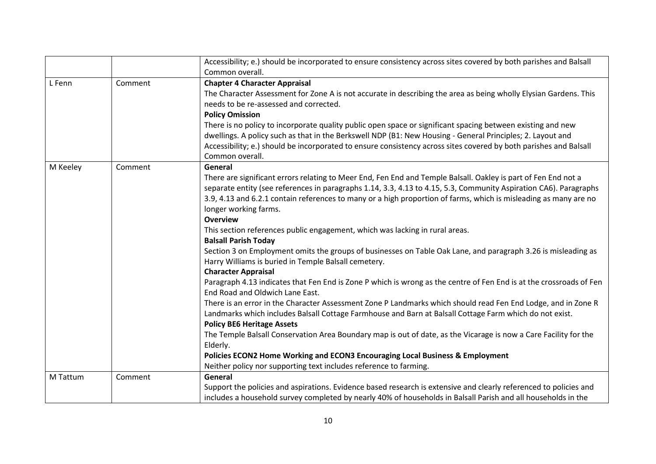|          |         | Accessibility; e.) should be incorporated to ensure consistency across sites covered by both parishes and Balsall   |
|----------|---------|---------------------------------------------------------------------------------------------------------------------|
|          |         | Common overall.                                                                                                     |
| L Fenn   | Comment | <b>Chapter 4 Character Appraisal</b>                                                                                |
|          |         | The Character Assessment for Zone A is not accurate in describing the area as being wholly Elysian Gardens. This    |
|          |         | needs to be re-assessed and corrected.                                                                              |
|          |         | <b>Policy Omission</b>                                                                                              |
|          |         | There is no policy to incorporate quality public open space or significant spacing between existing and new         |
|          |         | dwellings. A policy such as that in the Berkswell NDP (B1: New Housing - General Principles; 2. Layout and          |
|          |         | Accessibility; e.) should be incorporated to ensure consistency across sites covered by both parishes and Balsall   |
|          |         | Common overall.                                                                                                     |
| M Keeley | Comment | General                                                                                                             |
|          |         | There are significant errors relating to Meer End, Fen End and Temple Balsall. Oakley is part of Fen End not a      |
|          |         | separate entity (see references in paragraphs 1.14, 3.3, 4.13 to 4.15, 5.3, Community Aspiration CA6). Paragraphs   |
|          |         | 3.9, 4.13 and 6.2.1 contain references to many or a high proportion of farms, which is misleading as many are no    |
|          |         | longer working farms.                                                                                               |
|          |         | <b>Overview</b>                                                                                                     |
|          |         | This section references public engagement, which was lacking in rural areas.                                        |
|          |         | <b>Balsall Parish Today</b>                                                                                         |
|          |         | Section 3 on Employment omits the groups of businesses on Table Oak Lane, and paragraph 3.26 is misleading as       |
|          |         | Harry Williams is buried in Temple Balsall cemetery.                                                                |
|          |         | <b>Character Appraisal</b>                                                                                          |
|          |         | Paragraph 4.13 indicates that Fen End is Zone P which is wrong as the centre of Fen End is at the crossroads of Fen |
|          |         | End Road and Oldwich Lane East.                                                                                     |
|          |         | There is an error in the Character Assessment Zone P Landmarks which should read Fen End Lodge, and in Zone R       |
|          |         | Landmarks which includes Balsall Cottage Farmhouse and Barn at Balsall Cottage Farm which do not exist.             |
|          |         | <b>Policy BE6 Heritage Assets</b>                                                                                   |
|          |         | The Temple Balsall Conservation Area Boundary map is out of date, as the Vicarage is now a Care Facility for the    |
|          |         | Elderly.                                                                                                            |
|          |         | Policies ECON2 Home Working and ECON3 Encouraging Local Business & Employment                                       |
|          |         | Neither policy nor supporting text includes reference to farming.                                                   |
| M Tattum | Comment | General                                                                                                             |
|          |         | Support the policies and aspirations. Evidence based research is extensive and clearly referenced to policies and   |
|          |         | includes a household survey completed by nearly 40% of households in Balsall Parish and all households in the       |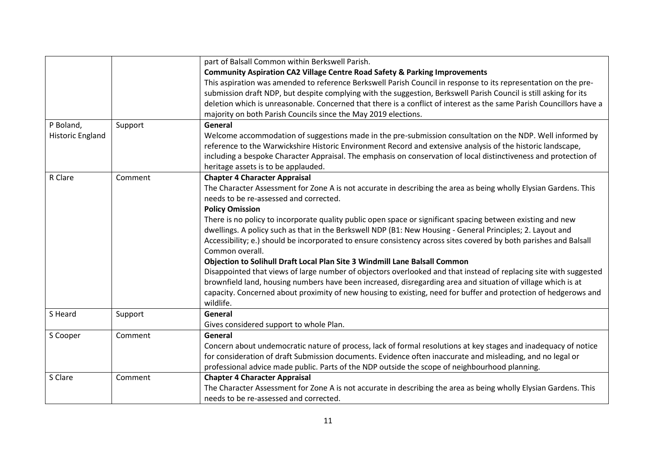|                         |         | part of Balsall Common within Berkswell Parish.                                                                      |
|-------------------------|---------|----------------------------------------------------------------------------------------------------------------------|
|                         |         | <b>Community Aspiration CA2 Village Centre Road Safety &amp; Parking Improvements</b>                                |
|                         |         | This aspiration was amended to reference Berkswell Parish Council in response to its representation on the pre-      |
|                         |         | submission draft NDP, but despite complying with the suggestion, Berkswell Parish Council is still asking for its    |
|                         |         | deletion which is unreasonable. Concerned that there is a conflict of interest as the same Parish Councillors have a |
|                         |         | majority on both Parish Councils since the May 2019 elections.                                                       |
| P Boland,               | Support | General                                                                                                              |
| <b>Historic England</b> |         | Welcome accommodation of suggestions made in the pre-submission consultation on the NDP. Well informed by            |
|                         |         | reference to the Warwickshire Historic Environment Record and extensive analysis of the historic landscape,          |
|                         |         | including a bespoke Character Appraisal. The emphasis on conservation of local distinctiveness and protection of     |
|                         |         | heritage assets is to be applauded.                                                                                  |
| R Clare                 | Comment | <b>Chapter 4 Character Appraisal</b>                                                                                 |
|                         |         | The Character Assessment for Zone A is not accurate in describing the area as being wholly Elysian Gardens. This     |
|                         |         | needs to be re-assessed and corrected.                                                                               |
|                         |         | <b>Policy Omission</b>                                                                                               |
|                         |         | There is no policy to incorporate quality public open space or significant spacing between existing and new          |
|                         |         | dwellings. A policy such as that in the Berkswell NDP (B1: New Housing - General Principles; 2. Layout and           |
|                         |         | Accessibility; e.) should be incorporated to ensure consistency across sites covered by both parishes and Balsall    |
|                         |         | Common overall.                                                                                                      |
|                         |         | Objection to Solihull Draft Local Plan Site 3 Windmill Lane Balsall Common                                           |
|                         |         | Disappointed that views of large number of objectors overlooked and that instead of replacing site with suggested    |
|                         |         | brownfield land, housing numbers have been increased, disregarding area and situation of village which is at         |
|                         |         | capacity. Concerned about proximity of new housing to existing, need for buffer and protection of hedgerows and      |
|                         |         | wildlife.                                                                                                            |
| S Heard                 | Support | General                                                                                                              |
|                         |         | Gives considered support to whole Plan.                                                                              |
| S Cooper                | Comment | General                                                                                                              |
|                         |         | Concern about undemocratic nature of process, lack of formal resolutions at key stages and inadequacy of notice      |
|                         |         | for consideration of draft Submission documents. Evidence often inaccurate and misleading, and no legal or           |
|                         |         | professional advice made public. Parts of the NDP outside the scope of neighbourhood planning.                       |
| S Clare                 | Comment | <b>Chapter 4 Character Appraisal</b>                                                                                 |
|                         |         | The Character Assessment for Zone A is not accurate in describing the area as being wholly Elysian Gardens. This     |
|                         |         | needs to be re-assessed and corrected.                                                                               |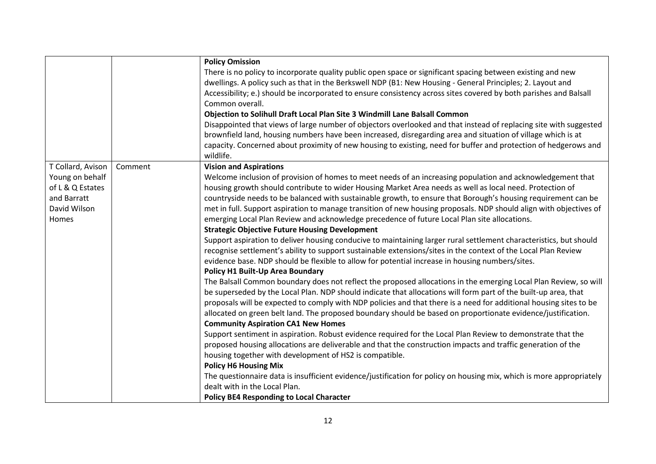|                   |         | <b>Policy Omission</b>                                                                                                                                |
|-------------------|---------|-------------------------------------------------------------------------------------------------------------------------------------------------------|
|                   |         | There is no policy to incorporate quality public open space or significant spacing between existing and new                                           |
|                   |         | dwellings. A policy such as that in the Berkswell NDP (B1: New Housing - General Principles; 2. Layout and                                            |
|                   |         | Accessibility; e.) should be incorporated to ensure consistency across sites covered by both parishes and Balsall                                     |
|                   |         | Common overall.                                                                                                                                       |
|                   |         | Objection to Solihull Draft Local Plan Site 3 Windmill Lane Balsall Common                                                                            |
|                   |         | Disappointed that views of large number of objectors overlooked and that instead of replacing site with suggested                                     |
|                   |         | brownfield land, housing numbers have been increased, disregarding area and situation of village which is at                                          |
|                   |         | capacity. Concerned about proximity of new housing to existing, need for buffer and protection of hedgerows and                                       |
|                   |         | wildlife.                                                                                                                                             |
| T Collard, Avison | Comment | <b>Vision and Aspirations</b>                                                                                                                         |
| Young on behalf   |         | Welcome inclusion of provision of homes to meet needs of an increasing population and acknowledgement that                                            |
| of L & Q Estates  |         | housing growth should contribute to wider Housing Market Area needs as well as local need. Protection of                                              |
| and Barratt       |         | countryside needs to be balanced with sustainable growth, to ensure that Borough's housing requirement can be                                         |
| David Wilson      |         | met in full. Support aspiration to manage transition of new housing proposals. NDP should align with objectives of                                    |
| Homes             |         | emerging Local Plan Review and acknowledge precedence of future Local Plan site allocations.                                                          |
|                   |         | <b>Strategic Objective Future Housing Development</b>                                                                                                 |
|                   |         | Support aspiration to deliver housing conducive to maintaining larger rural settlement characteristics, but should                                    |
|                   |         | recognise settlement's ability to support sustainable extensions/sites in the context of the Local Plan Review                                        |
|                   |         | evidence base. NDP should be flexible to allow for potential increase in housing numbers/sites.                                                       |
|                   |         | Policy H1 Built-Up Area Boundary                                                                                                                      |
|                   |         | The Balsall Common boundary does not reflect the proposed allocations in the emerging Local Plan Review, so will                                      |
|                   |         | be superseded by the Local Plan. NDP should indicate that allocations will form part of the built-up area, that                                       |
|                   |         | proposals will be expected to comply with NDP policies and that there is a need for additional housing sites to be                                    |
|                   |         | allocated on green belt land. The proposed boundary should be based on proportionate evidence/justification.                                          |
|                   |         | <b>Community Aspiration CA1 New Homes</b>                                                                                                             |
|                   |         | Support sentiment in aspiration. Robust evidence required for the Local Plan Review to demonstrate that the                                           |
|                   |         | proposed housing allocations are deliverable and that the construction impacts and traffic generation of the                                          |
|                   |         | housing together with development of HS2 is compatible.                                                                                               |
|                   |         | <b>Policy H6 Housing Mix</b>                                                                                                                          |
|                   |         | The questionnaire data is insufficient evidence/justification for policy on housing mix, which is more appropriately<br>dealt with in the Local Plan. |
|                   |         |                                                                                                                                                       |
|                   |         | <b>Policy BE4 Responding to Local Character</b>                                                                                                       |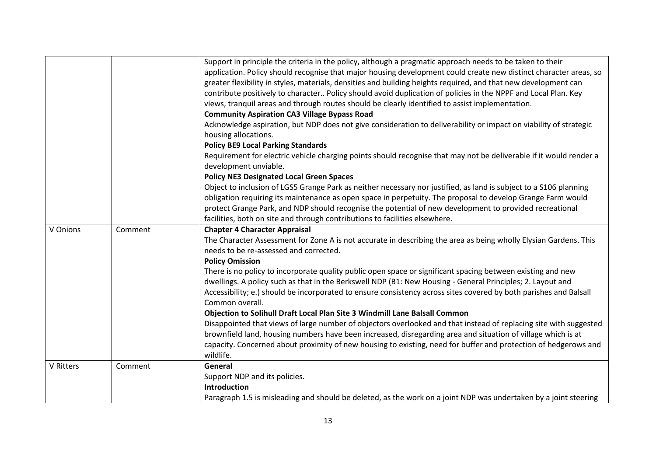|                  |         | Support in principle the criteria in the policy, although a pragmatic approach needs to be taken to their<br>application. Policy should recognise that major housing development could create new distinct character areas, so<br>greater flexibility in styles, materials, densities and building heights required, and that new development can<br>contribute positively to character Policy should avoid duplication of policies in the NPPF and Local Plan. Key<br>views, tranquil areas and through routes should be clearly identified to assist implementation.<br><b>Community Aspiration CA3 Village Bypass Road</b> |
|------------------|---------|-------------------------------------------------------------------------------------------------------------------------------------------------------------------------------------------------------------------------------------------------------------------------------------------------------------------------------------------------------------------------------------------------------------------------------------------------------------------------------------------------------------------------------------------------------------------------------------------------------------------------------|
|                  |         | Acknowledge aspiration, but NDP does not give consideration to deliverability or impact on viability of strategic<br>housing allocations.<br><b>Policy BE9 Local Parking Standards</b><br>Requirement for electric vehicle charging points should recognise that may not be deliverable if it would render a                                                                                                                                                                                                                                                                                                                  |
|                  |         | development unviable.<br><b>Policy NE3 Designated Local Green Spaces</b><br>Object to inclusion of LGS5 Grange Park as neither necessary nor justified, as land is subject to a S106 planning<br>obligation requiring its maintenance as open space in perpetuity. The proposal to develop Grange Farm would<br>protect Grange Park, and NDP should recognise the potential of new development to provided recreational                                                                                                                                                                                                       |
| V Onions         | Comment | facilities, both on site and through contributions to facilities elsewhere.<br><b>Chapter 4 Character Appraisal</b><br>The Character Assessment for Zone A is not accurate in describing the area as being wholly Elysian Gardens. This<br>needs to be re-assessed and corrected.                                                                                                                                                                                                                                                                                                                                             |
|                  |         | <b>Policy Omission</b><br>There is no policy to incorporate quality public open space or significant spacing between existing and new<br>dwellings. A policy such as that in the Berkswell NDP (B1: New Housing - General Principles; 2. Layout and<br>Accessibility; e.) should be incorporated to ensure consistency across sites covered by both parishes and Balsall<br>Common overall.                                                                                                                                                                                                                                   |
|                  |         | Objection to Solihull Draft Local Plan Site 3 Windmill Lane Balsall Common<br>Disappointed that views of large number of objectors overlooked and that instead of replacing site with suggested<br>brownfield land, housing numbers have been increased, disregarding area and situation of village which is at<br>capacity. Concerned about proximity of new housing to existing, need for buffer and protection of hedgerows and<br>wildlife.                                                                                                                                                                               |
| <b>V</b> Ritters | Comment | General<br>Support NDP and its policies.<br><b>Introduction</b><br>Paragraph 1.5 is misleading and should be deleted, as the work on a joint NDP was undertaken by a joint steering                                                                                                                                                                                                                                                                                                                                                                                                                                           |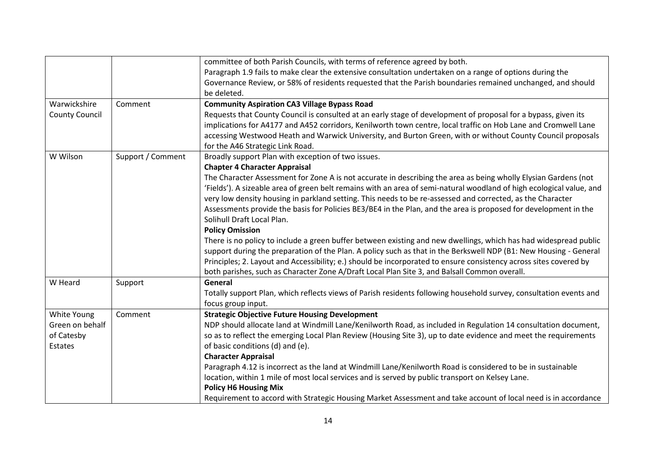|                       |                   | committee of both Parish Councils, with terms of reference agreed by both.                                           |
|-----------------------|-------------------|----------------------------------------------------------------------------------------------------------------------|
|                       |                   | Paragraph 1.9 fails to make clear the extensive consultation undertaken on a range of options during the             |
|                       |                   | Governance Review, or 58% of residents requested that the Parish boundaries remained unchanged, and should           |
|                       |                   | be deleted.                                                                                                          |
| Warwickshire          | Comment           | <b>Community Aspiration CA3 Village Bypass Road</b>                                                                  |
| <b>County Council</b> |                   | Requests that County Council is consulted at an early stage of development of proposal for a bypass, given its       |
|                       |                   | implications for A4177 and A452 corridors, Kenilworth town centre, local traffic on Hob Lane and Cromwell Lane       |
|                       |                   | accessing Westwood Heath and Warwick University, and Burton Green, with or without County Council proposals          |
|                       |                   | for the A46 Strategic Link Road.                                                                                     |
| W Wilson              | Support / Comment | Broadly support Plan with exception of two issues.                                                                   |
|                       |                   | <b>Chapter 4 Character Appraisal</b>                                                                                 |
|                       |                   | The Character Assessment for Zone A is not accurate in describing the area as being wholly Elysian Gardens (not      |
|                       |                   | 'Fields'). A sizeable area of green belt remains with an area of semi-natural woodland of high ecological value, and |
|                       |                   | very low density housing in parkland setting. This needs to be re-assessed and corrected, as the Character           |
|                       |                   | Assessments provide the basis for Policies BE3/BE4 in the Plan, and the area is proposed for development in the      |
|                       |                   | Solihull Draft Local Plan.                                                                                           |
|                       |                   | <b>Policy Omission</b>                                                                                               |
|                       |                   | There is no policy to include a green buffer between existing and new dwellings, which has had widespread public     |
|                       |                   | support during the preparation of the Plan. A policy such as that in the Berkswell NDP (B1: New Housing - General    |
|                       |                   | Principles; 2. Layout and Accessibility; e.) should be incorporated to ensure consistency across sites covered by    |
|                       |                   | both parishes, such as Character Zone A/Draft Local Plan Site 3, and Balsall Common overall.                         |
| W Heard               | Support           | General                                                                                                              |
|                       |                   | Totally support Plan, which reflects views of Parish residents following household survey, consultation events and   |
|                       |                   | focus group input.                                                                                                   |
| White Young           | Comment           | <b>Strategic Objective Future Housing Development</b>                                                                |
| Green on behalf       |                   | NDP should allocate land at Windmill Lane/Kenilworth Road, as included in Regulation 14 consultation document,       |
| of Catesby            |                   | so as to reflect the emerging Local Plan Review (Housing Site 3), up to date evidence and meet the requirements      |
| Estates               |                   | of basic conditions (d) and (e).                                                                                     |
|                       |                   | <b>Character Appraisal</b>                                                                                           |
|                       |                   | Paragraph 4.12 is incorrect as the land at Windmill Lane/Kenilworth Road is considered to be in sustainable          |
|                       |                   | location, within 1 mile of most local services and is served by public transport on Kelsey Lane.                     |
|                       |                   | <b>Policy H6 Housing Mix</b>                                                                                         |
|                       |                   | Requirement to accord with Strategic Housing Market Assessment and take account of local need is in accordance       |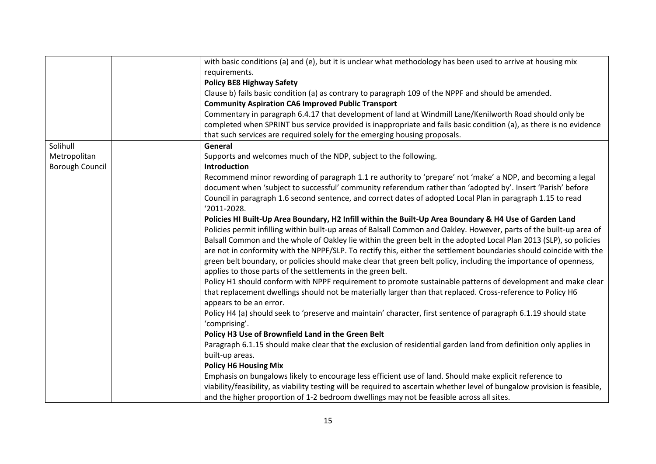|                        | with basic conditions (a) and (e), but it is unclear what methodology has been used to arrive at housing mix               |
|------------------------|----------------------------------------------------------------------------------------------------------------------------|
|                        | requirements.                                                                                                              |
|                        | <b>Policy BE8 Highway Safety</b>                                                                                           |
|                        | Clause b) fails basic condition (a) as contrary to paragraph 109 of the NPPF and should be amended.                        |
|                        | <b>Community Aspiration CA6 Improved Public Transport</b>                                                                  |
|                        | Commentary in paragraph 6.4.17 that development of land at Windmill Lane/Kenilworth Road should only be                    |
|                        | completed when SPRINT bus service provided is inappropriate and fails basic condition (a), as there is no evidence         |
|                        | that such services are required solely for the emerging housing proposals.                                                 |
| Solihull               | General                                                                                                                    |
| Metropolitan           | Supports and welcomes much of the NDP, subject to the following.                                                           |
| <b>Borough Council</b> | Introduction                                                                                                               |
|                        | Recommend minor rewording of paragraph 1.1 re authority to 'prepare' not 'make' a NDP, and becoming a legal                |
|                        | document when 'subject to successful' community referendum rather than 'adopted by'. Insert 'Parish' before                |
|                        | Council in paragraph 1.6 second sentence, and correct dates of adopted Local Plan in paragraph 1.15 to read                |
|                        | '2011-2028.                                                                                                                |
|                        | Policies HI Built-Up Area Boundary, H2 Infill within the Built-Up Area Boundary & H4 Use of Garden Land                    |
|                        | Policies permit infilling within built-up areas of Balsall Common and Oakley. However, parts of the built-up area of       |
|                        | Balsall Common and the whole of Oakley lie within the green belt in the adopted Local Plan 2013 (SLP), so policies         |
|                        | are not in conformity with the NPPF/SLP. To rectify this, either the settlement boundaries should coincide with the        |
|                        | green belt boundary, or policies should make clear that green belt policy, including the importance of openness,           |
|                        | applies to those parts of the settlements in the green belt.                                                               |
|                        | Policy H1 should conform with NPPF requirement to promote sustainable patterns of development and make clear               |
|                        | that replacement dwellings should not be materially larger than that replaced. Cross-reference to Policy H6                |
|                        | appears to be an error.                                                                                                    |
|                        | Policy H4 (a) should seek to 'preserve and maintain' character, first sentence of paragraph 6.1.19 should state            |
|                        | 'comprising'.                                                                                                              |
|                        | Policy H3 Use of Brownfield Land in the Green Belt                                                                         |
|                        | Paragraph 6.1.15 should make clear that the exclusion of residential garden land from definition only applies in           |
|                        | built-up areas.                                                                                                            |
|                        | <b>Policy H6 Housing Mix</b>                                                                                               |
|                        | Emphasis on bungalows likely to encourage less efficient use of land. Should make explicit reference to                    |
|                        | viability/feasibility, as viability testing will be required to ascertain whether level of bungalow provision is feasible, |
|                        | and the higher proportion of 1-2 bedroom dwellings may not be feasible across all sites.                                   |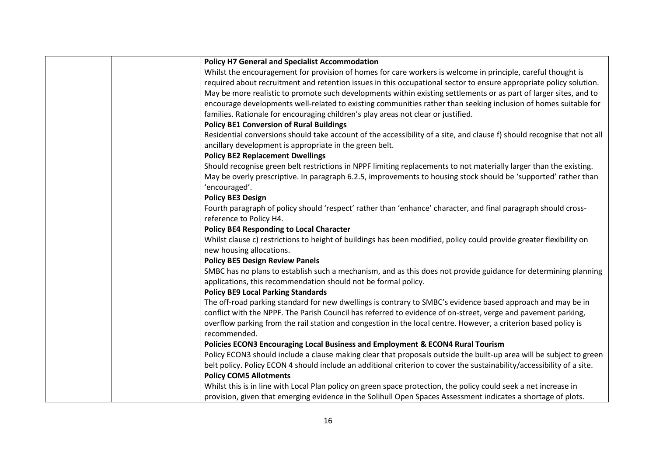| <b>Policy H7 General and Specialist Accommodation</b>                                                                   |
|-------------------------------------------------------------------------------------------------------------------------|
| Whilst the encouragement for provision of homes for care workers is welcome in principle, careful thought is            |
| required about recruitment and retention issues in this occupational sector to ensure appropriate policy solution.      |
| May be more realistic to promote such developments within existing settlements or as part of larger sites, and to       |
| encourage developments well-related to existing communities rather than seeking inclusion of homes suitable for         |
| families. Rationale for encouraging children's play areas not clear or justified.                                       |
| <b>Policy BE1 Conversion of Rural Buildings</b>                                                                         |
| Residential conversions should take account of the accessibility of a site, and clause f) should recognise that not all |
| ancillary development is appropriate in the green belt.                                                                 |
| <b>Policy BE2 Replacement Dwellings</b>                                                                                 |
| Should recognise green belt restrictions in NPPF limiting replacements to not materially larger than the existing.      |
| May be overly prescriptive. In paragraph 6.2.5, improvements to housing stock should be 'supported' rather than         |
| 'encouraged'.                                                                                                           |
| <b>Policy BE3 Design</b>                                                                                                |
| Fourth paragraph of policy should 'respect' rather than 'enhance' character, and final paragraph should cross-          |
| reference to Policy H4.                                                                                                 |
| <b>Policy BE4 Responding to Local Character</b>                                                                         |
| Whilst clause c) restrictions to height of buildings has been modified, policy could provide greater flexibility on     |
| new housing allocations.                                                                                                |
| <b>Policy BE5 Design Review Panels</b>                                                                                  |
| SMBC has no plans to establish such a mechanism, and as this does not provide guidance for determining planning         |
| applications, this recommendation should not be formal policy.                                                          |
| <b>Policy BE9 Local Parking Standards</b>                                                                               |
| The off-road parking standard for new dwellings is contrary to SMBC's evidence based approach and may be in             |
| conflict with the NPPF. The Parish Council has referred to evidence of on-street, verge and pavement parking,           |
| overflow parking from the rail station and congestion in the local centre. However, a criterion based policy is         |
| recommended.                                                                                                            |
| Policies ECON3 Encouraging Local Business and Employment & ECON4 Rural Tourism                                          |
| Policy ECON3 should include a clause making clear that proposals outside the built-up area will be subject to green     |
| belt policy. Policy ECON 4 should include an additional criterion to cover the sustainability/accessibility of a site.  |
| <b>Policy COM5 Allotments</b>                                                                                           |
| Whilst this is in line with Local Plan policy on green space protection, the policy could seek a net increase in        |
| provision, given that emerging evidence in the Solihull Open Spaces Assessment indicates a shortage of plots.           |